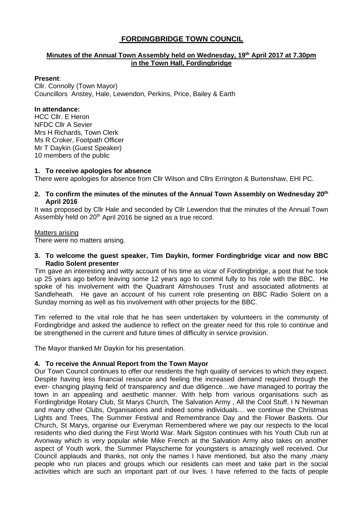# **FORDINGBRIDGE TOWN COUNCIL**

# **Minutes of the Annual Town Assembly held on Wednesday, 19th April 2017 at 7.30pm in the Town Hall, Fordingbridge**

### **Present**:

Cllr. Connolly (Town Mayor) Councillors Anstey, Hale, Lewendon, Perkins, Price, Bailey & Earth

## **In attendance:**

HCC Cllr. E Heron NFDC Cllr A Sevier Mrs H Richards, Town Clerk Ms R Croker, Footpath Officer Mr T Daykin (Guest Speaker) 10 members of the public

### **1. To receive apologies for absence**

There were apologies for absence from Cllr Wilson and Cllrs Errington & Burtenshaw, EHI PC.

## **2. To confirm the minutes of the minutes of the Annual Town Assembly on Wednesday 20th April 2016**

It was proposed by Cllr Hale and seconded by Cllr Lewendon that the minutes of the Annual Town Assembly held on 20<sup>th</sup> April 2016 be signed as a true record.

### Matters arising

There were no matters arising.

#### **3. To welcome the guest speaker, Tim Daykin, former Fordingbridge vicar and now BBC Radio Solent presenter**

Tim gave an interesting and witty account of his time as vicar of Fordingbridge, a post that he took up 25 years ago before leaving some 12 years ago to commit fully to his role with the BBC. He spoke of his involvement with the Quadrant Almshouses Trust and associated allotments at Sandleheath. He gave an account of his current role presenting on BBC Radio Solent on a Sunday morning as well as his involvement with other projects for the BBC.

Tim referred to the vital role that he has seen undertaken by volunteers in the community of Fordingbridge and asked the audience to reflect on the greater need for this role to continue and be strengthened in the current and future times of difficulty in service provision.

The Mayor thanked Mr Daykin for his presentation.

## **4. To receive the Annual Report from the Town Mayor**

Our Town Council continues to offer our residents the high quality of services to which they expect. Despite having less financial resource and feeling the increased demand required through the ever- changing playing field of transparency and due diligence…we have managed to portray the town in an appealing and aesthetic manner. With help from various organisations such as Fordingbridge Rotary Club, St Marys Church, The Salvation Army , All the Cool Stuff, I N Newman and many other Clubs, Organisations and indeed some individuals… we continue the Christmas Lights and Trees, The Summer Festival and Remembrance Day and the Flower Baskets. Our Church, St Marys, organise our Everyman Remembered where we pay our respects to the local residents who died during the First World War. Mark Sigston continues with his Youth Club run at Avonway which is very popular while Mike French at the Salvation Army also takes on another aspect of Youth work, the Summer Playscheme for youngsters is amazingly well received. Our Council applauds and thanks, not only the names I have mentioned, but also the many ,many people who run places and groups which our residents can meet and take part in the social activities which are such an important part of our lives. I have referred to the facts of people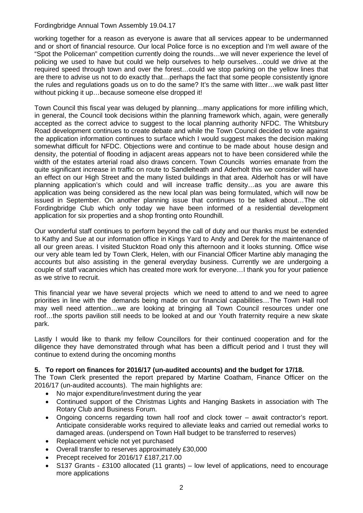# Fordingbridge Annual Town Assembly 19.04.17

working together for a reason as everyone is aware that all services appear to be undermanned and or short of financial resource. Our local Police force is no exception and I'm well aware of the "Spot the Policeman" competition currently doing the rounds…we will never experience the level of policing we used to have but could we help ourselves to help ourselves…could we drive at the required speed through town and over the forest…could we stop parking on the yellow lines that are there to advise us not to do exactly that…perhaps the fact that some people consistently ignore the rules and regulations goads us on to do the same? It's the same with litter…we walk past litter without picking it up...because someone else dropped it!

Town Council this fiscal year was deluged by planning…many applications for more infilling which, in general, the Council took decisions within the planning framework which, again, were generally accepted as the correct advice to suggest to the local planning authority NFDC. The Whitsbury Road development continues to create debate and while the Town Council decided to vote against the application information continues to surface which I would suggest makes the decision making somewhat difficult for NFDC. Objections were and continue to be made about house design and density, the potential of flooding in adjacent areas appears not to have been considered while the width of the estates arterial road also draws concern. Town Councils worries emanate from the quite significant increase in traffic on route to Sandleheath and Aderholt this we consider will have an effect on our High Street and the many listed buildings in that area. Alderholt has or will have planning application's which could and will increase traffic density…as you are aware this application was being considered as the new local plan was being formulated, which will now be issued in September. On another planning issue that continues to be talked about…The old Fordingbridge Club which only today we have been informed of a residential development application for six properties and a shop fronting onto Roundhill.

Our wonderful staff continues to perform beyond the call of duty and our thanks must be extended to Kathy and Sue at our information office in Kings Yard to Andy and Derek for the maintenance of all our green areas. I visited Stuckton Road only this afternoon and it looks stunning. Office wise our very able team led by Town Clerk, Helen, with our Financial Officer Martine ably managing the accounts but also assisting in the general everyday business. Currently we are undergoing a couple of staff vacancies which has created more work for everyone…I thank you for your patience as we strive to recruit.

This financial year we have several projects which we need to attend to and we need to agree priorities in line with the demands being made on our financial capabilities…The Town Hall roof may well need attention…we are looking at bringing all Town Council resources under one roof…the sports pavilion still needs to be looked at and our Youth fraternity require a new skate park.

Lastly I would like to thank my fellow Councillors for their continued cooperation and for the diligence they have demonstrated through what has been a difficult period and I trust they will continue to extend during the oncoming months

# **5. To report on finances for 2016/17 (un-audited accounts) and the budget for 17/18.**

The Town Clerk presented the report prepared by Martine Coatham, Finance Officer on the 2016/17 (un-audited accounts). The main highlights are:

- No major expenditure/investment during the year
- Continued support of the Christmas Lights and Hanging Baskets in association with The Rotary Club and Business Forum.
- Ongoing concerns regarding town hall roof and clock tower await contractor's report. Anticipate considerable works required to alleviate leaks and carried out remedial works to damaged areas. (underspend on Town Hall budget to be transferred to reserves)
- Replacement vehicle not yet purchased
- Overall transfer to reserves approximately £30,000
- Precept received for 2016/17 £187,217.00
- S137 Grants £3100 allocated (11 grants) low level of applications, need to encourage more applications